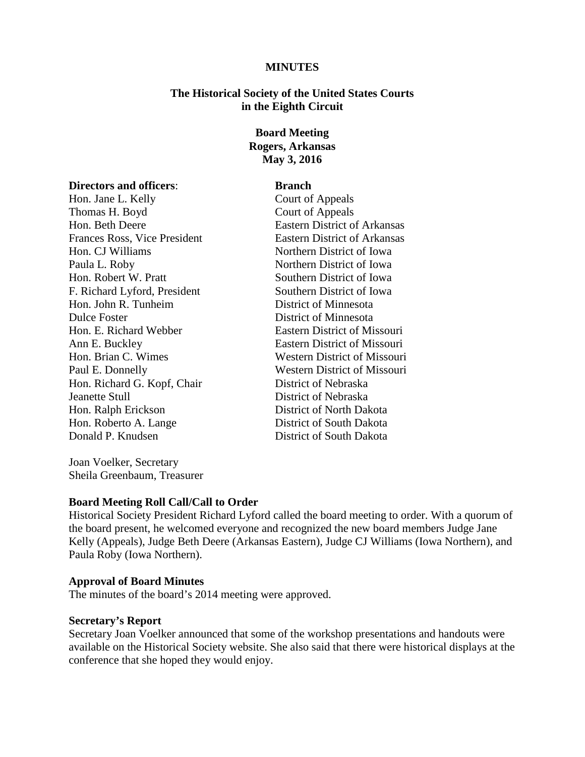### **MINUTES**

## **The Historical Society of the United States Courts in the Eighth Circuit**

# **Board Meeting Rogers, Arkansas May 3, 2016**

### **Directors and officers: Branch**

Thomas H. Boyd Court of Appeals Hon. Beth Deere Eastern District of Arkansas Frances Ross, Vice President Eastern District of Arkansas Hon. CJ Williams Northern District of Iowa Paula L. Roby Northern District of Iowa Hon. Robert W. Pratt Southern District of Iowa F. Richard Lyford, President Southern District of Iowa Hon. John R. Tunheim District of Minnesota Dulce Foster District of Minnesota Hon. E. Richard Webber Eastern District of Missouri Ann E. Buckley Eastern District of Missouri Hon. Brian C. Wimes Western District of Missouri Paul E. Donnelly Western District of Missouri Hon. Richard G. Kopf, Chair District of Nebraska Jeanette Stull District of Nebraska Hon. Ralph Erickson District of North Dakota Hon. Roberto A. Lange District of South Dakota Donald P. Knudsen District of South Dakota

Joan Voelker, Secretary Sheila Greenbaum, Treasurer

Hon. Jane L. Kelly Court of Appeals

## **Board Meeting Roll Call/Call to Order**

Historical Society President Richard Lyford called the board meeting to order. With a quorum of the board present, he welcomed everyone and recognized the new board members Judge Jane Kelly (Appeals), Judge Beth Deere (Arkansas Eastern), Judge CJ Williams (Iowa Northern), and Paula Roby (Iowa Northern).

#### **Approval of Board Minutes**

The minutes of the board's 2014 meeting were approved.

### **Secretary's Report**

Secretary Joan Voelker announced that some of the workshop presentations and handouts were available on the Historical Society website. She also said that there were historical displays at the conference that she hoped they would enjoy.